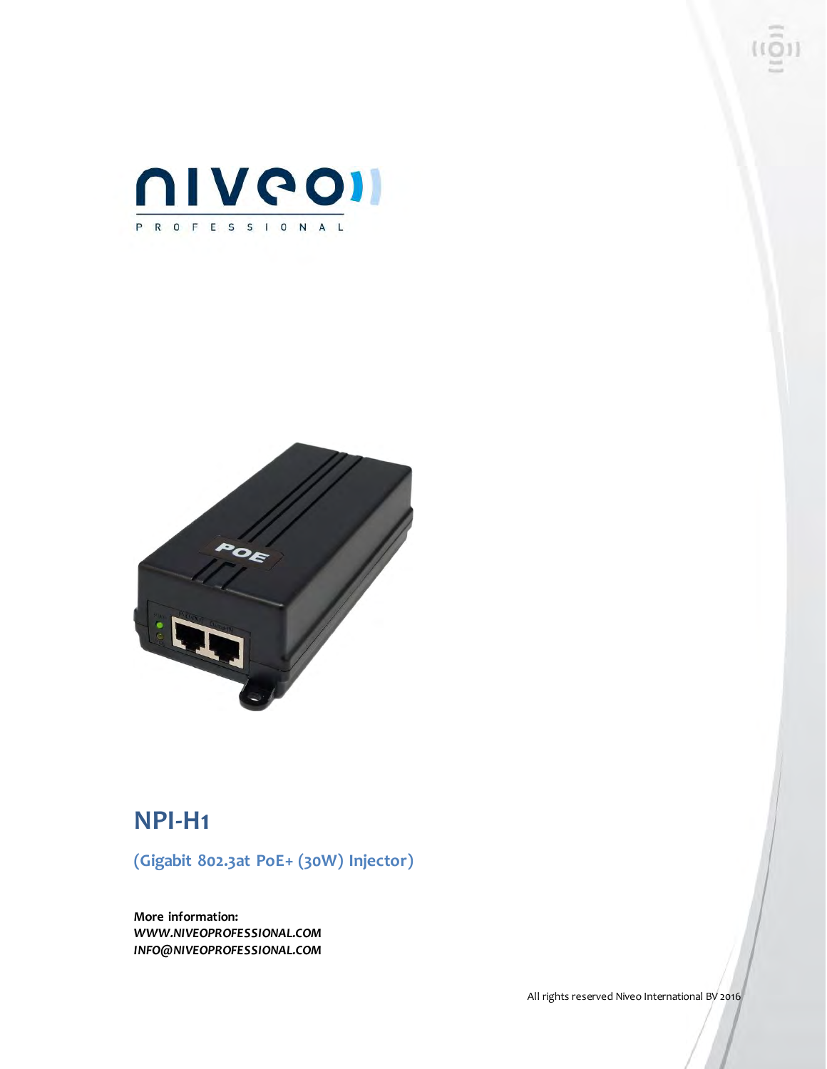



### **NPI-H1**

**(Gigabit 802.3at PoE+ (30W) Injector)**

**More information:** *WWW.NIVEOPROFESSIONAL.COM INFO@NIVEOPROFESSIONAL.COM*

All rights reserved Niveo International BV 2016